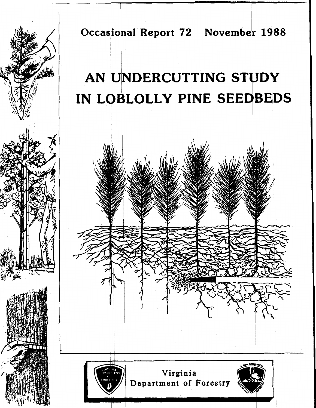

**Occasional Report 72 November 1988** 

# AN UNDERCUTTING STUDY IN LOBLOLLY PINE SEEDBEDS

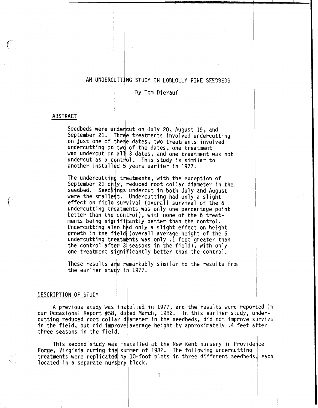# AN UNDERCUTTING STUDY IN LOBLOLLY PINE SEEDBEDS

Ey Tom Dierauf

**1** 

# ABSTRACT

Seedbeds were undencut on July 20, August 19, and September 21. fhrae treatments involved undercutting on just one of these dates, two treatments involved undercutting on two of the dates, one treatment was undercut on $|\!|$  all $|\!|$  3 dates, and one treatment was not undercut as a control. This study is similar to another installed **5**  years earlier in 1977.

The undercutting treatments, with the exception of September 21 only, reduced root collar diameter in the both July and August had only a slight effect on field survival (overall survival of the 6 undercutting treatments was only one percentage point better than the control), with none of the 6 treatments being significantly better than the control.<br>Undercutting also had only a slight effect on height growth in the field (overall average height of the 6 undercutting treatments was only .1 feet greater than<br>the control after 3 seasons in the field), with only one treatment significantly better than the control.

These results ane remarkably similar to the results from the earlier study in 1977.

#### DESCRIPTION OF STUDY

A previous study was installed in 1977, and the results were reported in our Occasional Report #58, dated March, 1982. In this earlier study, undercutting reduced root collar diameter in the seedbeds, did not improve survival in the field, but did improve average height by approximately  $.4$  feet after three seasons in the field.

This second study was installed at the New Kent nursery in Providence Forge, Virginia during the summer of 1982. The following undercutting treatments were replicated by 10-foot plots in three different seedbeds, each located in a separate nursery block.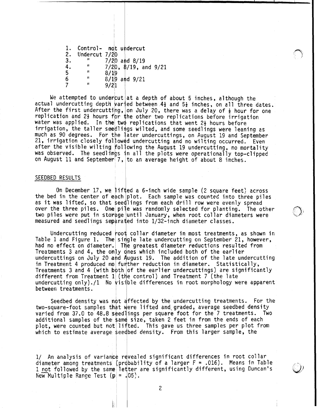1. Control- not undercut 2. Undercut 7/20<br>3. " 7/20 3. **It** 7/20 and 8/19  $rac{4}{5}$ **5**<br>5<br>**1 1 8** 6 **It** 8/19 and 9/21 7 **<sup>11</sup>**9/21  $7/20$ ,  $8/19$ , and  $9/21$ 

We attempted to undercut at a depth of about 5 inches, although the actual undercutting depth varied between  $4\frac{1}{2}$  and  $5\frac{1}{2}$  inches, on all three dates. After the first undercutting, on July 20, there was a delay of  $\frac{1}{2}$  hour for one replication and  $2\frac{1}{2}$  hours for the other two replications before irrigation water was applied. In the two replications that went  $2\frac{1}{2}$  hours before irrigation, the taller seedlings wilted, and some seedlings were leaning as much as 90 degrees. For the later undercuttings, on August 19 and September 21, irrigation closely followed undercutting and no wilting occurred. Even after the visible wilting following the August 19 undercutting, no mortality<br>was observed. The seedlings in all the plots were operationally top-clipped<br>on August 11 and September 7, to an august of the plots of the plots was observed. The seedlings in all the plots were operationally top-clipped ne la<br>lowed<br>follo<br>gs in<br>7, t on August 11 and September 7, to an average height of about 8 inches.

 $\bigcap$ 

# SEEDBED RESULTS

On December 17, we lifted a 6-inch wide sample (2 square feet) across the bed in the center of each plot. Each sample was counted into three piles as it was lifted, so that seedlings from each drill row were evenly spread over the three piles. One pile was randomly selected for planting. The other two piles were put in storage until January, when root collar diameters were measured and seedlings separated into 1/32-inch diameter classes.

Undercutting reduced root collar diameter in most treatments, as shown in Table 1 and Figure 1. The single late undercutting on September 21, however, had no effect on diameter.| The greatest diameter reductions resulted from Treatments 3 and 4, the only dnes which included both of the earlier undercuttings on July 20 **a**nd August 19. The addition of the late undercutting in Treatment 4 produced no funther reduction in diameter. Statistically, Treatments 3 and 4 (with both of the earlier undercuttings) are significantly different from Treatment 1|(the control) and Treatment 7 (the late undercutting only)./1 No visible differences in root morphology were apparent between treatments.

Seedbed density was not diffected by the undercutting treatments. For the two-square-foot samples that were lifted and graded, average seedbed density varied from 37.0 to 48.8 seedlings per square foot for the 7 treatments. Two additional samples of the same size, taken 2 feet in from the ends of each plot, were counted but not lifted. This gave us three samples per plot from which to estimate average seedbed density. From this larger sample, the

1/ An analysis of variance revealed significant differences in root collar diameter among treatments (probability of a larger  $F = .016$ ). Means in Table 1 not followed by the same letter are significantly different, using Duncan's New Multiple Range Test  $(p| = 0.05)$ .

 $\overline{c}$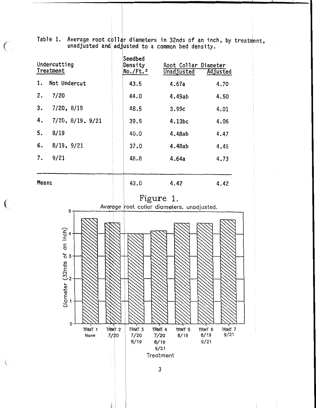Table 1. Average root collar diameters in 32nds of an inch, by treatment.  $m$ adjusted and adjusted to a common bed density.

| Undercutting<br>Treatment |                          | Seedbed<br>Density<br>$No./Ft.^2$ | Root Collar Diameter<br>Adjusted<br>Unadjusted |      |
|---------------------------|--------------------------|-----------------------------------|------------------------------------------------|------|
| 1.                        | Not Undercut             | 43.5                              | 4.67a                                          | 4.70 |
| 2.                        | 7/20                     | 44.0                              | 4.49ab                                         | 4.50 |
| 3.                        | $7/20$ , $8/19$          | 48.5                              | 3.99c                                          | 4.01 |
| 4.                        | $7/20$ , $8/19$ , $9/21$ | 39.5                              | 4.13bc                                         | 4.06 |
| 5.                        | 8/19                     | 40.0                              | 4.48ab                                         | 4.47 |
| 6.                        | $8/19$ , $9/21$          | 37.0                              | 4.48ab                                         | 4.45 |
| 7.                        | 9/21                     | 48.8                              | 4.64a                                          | 4.73 |
|                           |                          |                                   |                                                |      |
| Means                     |                          | 43.0                              | 4.42                                           | 4.42 |

 $\bigcirc$ 

 $\left(\begin{array}{c} 0 \\ 0 \end{array}\right)$ 

k

Figure 1.

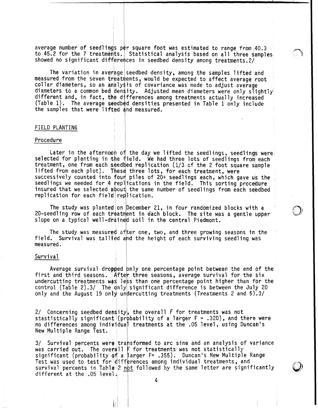average number of seedlings per square foot was estimated to range from 40.3 to 45.2 for the 7 treatments. Statistical analysis based on all three samples showed no significant differences in seedbed density among treatments. 2/

 $\bigcap$ 

The variation in average seedbed density, among the samples lifted and measured from the seven treatments, would be expected to affect average root collar diameters, so an analysis of covariance was made to adjust average collar diameters, so an analysis of covariance was made to adjust average<br>diameters to a common bed density. Adjusted mean diameters were only slightly different and, in fact, the differences among treatments actually increased (Table 1). The average seedbed densities presented in Table 1 only include the samples that were lifted and measured.

### FIELD PLANTING

#### Procedure

Later in the afternoon of the day we lifted the seedlings, seedlings were selected for planting in the field. We had three lots of seedlings from each treatment, one from each seedbed replication  $(1/3$  cf the 2 foot square sample lifted from each plot). These three lots, for each treatment, were successively counted into four piles of 20+ seedlings each, which gave us the seedlings we needed for 4 replications in the field. This sorting procedure insured that we selected about the same number of seedlings from each seedbed rep1 ication for each field rep1 ication.

The study was planted on December 21, in four randomized blocks with a The study was planted on December 21, in four randomized blocks with a<br>20-seedling row of each treatment in each block. The site was a gentle upper  $\bigotimes$ slope on a typical well-drained soil in the central Piedmont.

The study was measured after one, two, and three growing seasons in the field. Survival was tallied and the height of each surviving seedling was measured.

#### Survival

Average survival dropped only one percentage point between the end of the first and third seasons. After three seasons, average survival for the six undercutting treatments was less than one percentage point higher than for the control (Table 2).3/ The qnly significant difference is between the July 20 only and the August 19 only undercutting treatments (Treatments 2 and 5).3/

2/ Concerning seedbed density, the overall  $\vec{F}$  for treatments was not stastistically significant (probability of a larger  $F = .320$ ), and there were no differences among individual treatments at the .05 level, using Duncah's New Multiple Range Test.

3/ Survival percents were transformed to arc sine and an analysis of variance was carried out. The overall F for treatments was not statistically significant (probability of a larger  $F = .355$ ). Duncan's New Multiple Range lest was used to test for differences among individual treatments, and significant (probability of a larger F= .355). Duncan's New Multiple Range<br>Fest was used to test for differences among individual treatments, and<br>survival percents in Table 2 <u>not</u> followed by the same letter are significa

4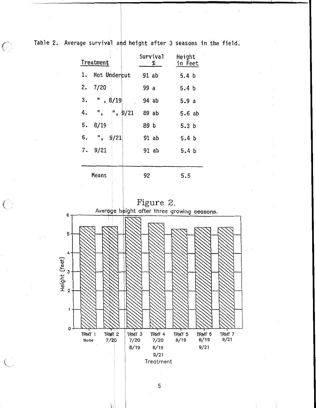$\bigcirc$ 

Table 2. Average survival and height after 3 seasons in the field.

| Treatment |                 | Survival<br>$\frac{\alpha}{\beta}$ | Height<br>in Feet |
|-----------|-----------------|------------------------------------|-------------------|
| 1.        | Not Undercut    | $91$ ab                            | 5.4 <sub>b</sub>  |
|           | 2.7/20          | 99 a                               | 5.4 <sub>b</sub>  |
|           | $3.$ ", $8/19$  | 94 ab                              | 5.9 a             |
|           | 4. ", ", $9/21$ | 89 ab                              | 5.6ab             |
| 5.        | 8/19            | 89 b                               | 5.3 <sub>b</sub>  |
|           | $6.$ ", $9/21$  | 91 ab                              | 5.4 <sub>b</sub>  |
|           | 7.9/21          | 91 ab                              | 5.4 <sub>b</sub>  |
|           |                 |                                    |                   |
|           | Means           | 92                                 | 5.5               |





5